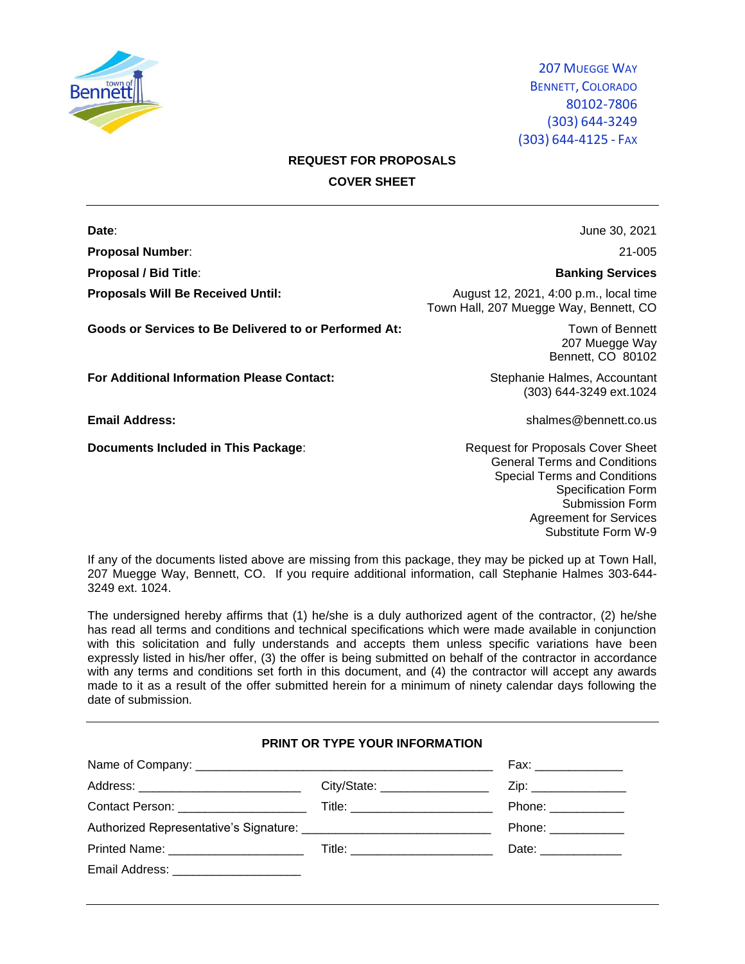

# **REQUEST FOR PROPOSALS COVER SHEET**

**Proposal Number**: 21-005

Goods or Services to Be Delivered to or Performed At: Town of Bennett

**For Additional Information Please Contact:** Stephanie Halmes, Accountant

**Documents Included in This Package:** Request for Proposals Cover Sheet

**Date**: **Date**: **June 30, 2021** 

#### **Proposal / Bid Title**: **Banking Services**

**Proposals Will Be Received Until:** August 12, 2021, 4:00 p.m., local time Town Hall, 207 Muegge Way, Bennett, CO

> 207 Muegge Way Bennett, CO 80102

(303) 644-3249 ext.1024

**Email Address:** shalmes@bennett.co.us

General Terms and Conditions Special Terms and Conditions Specification Form Submission Form Agreement for Services Substitute Form W-9

If any of the documents listed above are missing from this package, they may be picked up at Town Hall, 207 Muegge Way, Bennett, CO. If you require additional information, call Stephanie Halmes 303-644- 3249 ext. 1024.

The undersigned hereby affirms that (1) he/she is a duly authorized agent of the contractor, (2) he/she has read all terms and conditions and technical specifications which were made available in conjunction with this solicitation and fully understands and accepts them unless specific variations have been expressly listed in his/her offer, (3) the offer is being submitted on behalf of the contractor in accordance with any terms and conditions set forth in this document, and (4) the contractor will accept any awards made to it as a result of the offer submitted herein for a minimum of ninety calendar days following the date of submission.

# **PRINT OR TYPE YOUR INFORMATION**

|                                         | Fax: _______________              |                      |
|-----------------------------------------|-----------------------------------|----------------------|
| Address: ______________________________ |                                   |                      |
| Contact Person: _____________________   | Title: __________________________ | Phone: ____________  |
|                                         |                                   | Phone: _____________ |
| Printed Name: _______________________   |                                   | Date: ______________ |
| Email Address: ______________________   |                                   |                      |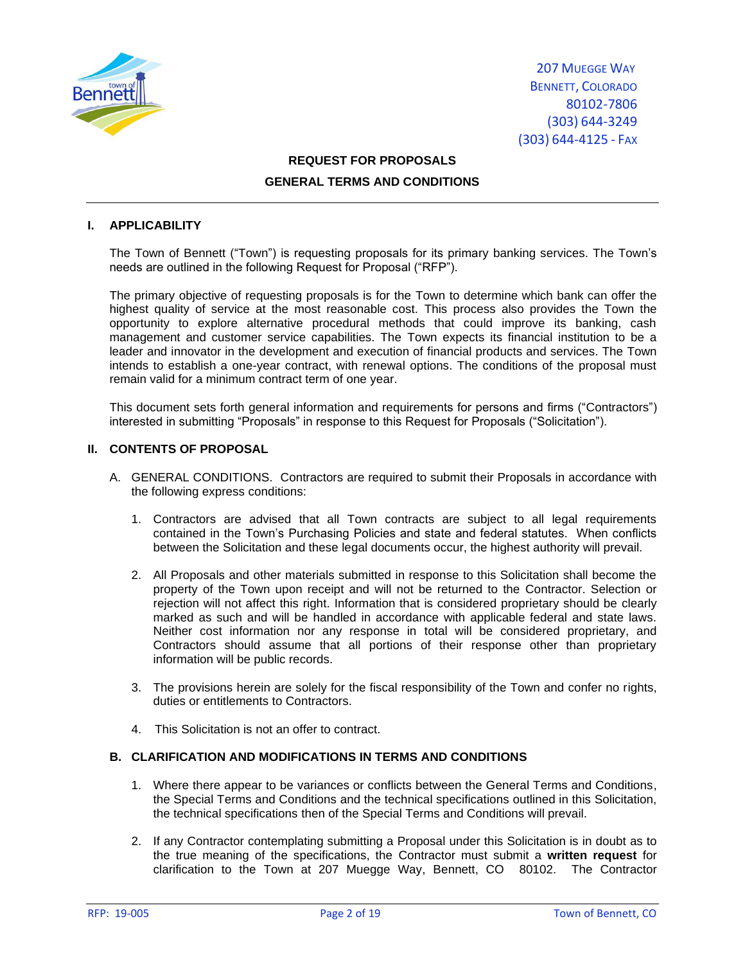

# **REQUEST FOR PROPOSALS GENERAL TERMS AND CONDITIONS**

### **I. APPLICABILITY**

The Town of Bennett ("Town") is requesting proposals for its primary banking services. The Town's needs are outlined in the following Request for Proposal ("RFP").

The primary objective of requesting proposals is for the Town to determine which bank can offer the highest quality of service at the most reasonable cost. This process also provides the Town the opportunity to explore alternative procedural methods that could improve its banking, cash management and customer service capabilities. The Town expects its financial institution to be a leader and innovator in the development and execution of financial products and services. The Town intends to establish a one-year contract, with renewal options. The conditions of the proposal must remain valid for a minimum contract term of one year.

This document sets forth general information and requirements for persons and firms ("Contractors") interested in submitting "Proposals" in response to this Request for Proposals ("Solicitation").

### **II. CONTENTS OF PROPOSAL**

- A. GENERAL CONDITIONS. Contractors are required to submit their Proposals in accordance with the following express conditions:
	- 1. Contractors are advised that all Town contracts are subject to all legal requirements contained in the Town's Purchasing Policies and state and federal statutes. When conflicts between the Solicitation and these legal documents occur, the highest authority will prevail.
	- 2. All Proposals and other materials submitted in response to this Solicitation shall become the property of the Town upon receipt and will not be returned to the Contractor. Selection or rejection will not affect this right. Information that is considered proprietary should be clearly marked as such and will be handled in accordance with applicable federal and state laws. Neither cost information nor any response in total will be considered proprietary, and Contractors should assume that all portions of their response other than proprietary information will be public records.
	- 3. The provisions herein are solely for the fiscal responsibility of the Town and confer no rights, duties or entitlements to Contractors.
	- 4. This Solicitation is not an offer to contract.

## **B. CLARIFICATION AND MODIFICATIONS IN TERMS AND CONDITIONS**

- 1. Where there appear to be variances or conflicts between the General Terms and Conditions, the Special Terms and Conditions and the technical specifications outlined in this Solicitation, the technical specifications then of the Special Terms and Conditions will prevail.
- 2. If any Contractor contemplating submitting a Proposal under this Solicitation is in doubt as to the true meaning of the specifications, the Contractor must submit a **written request** for clarification to the Town at 207 Muegge Way, Bennett, CO 80102. The Contractor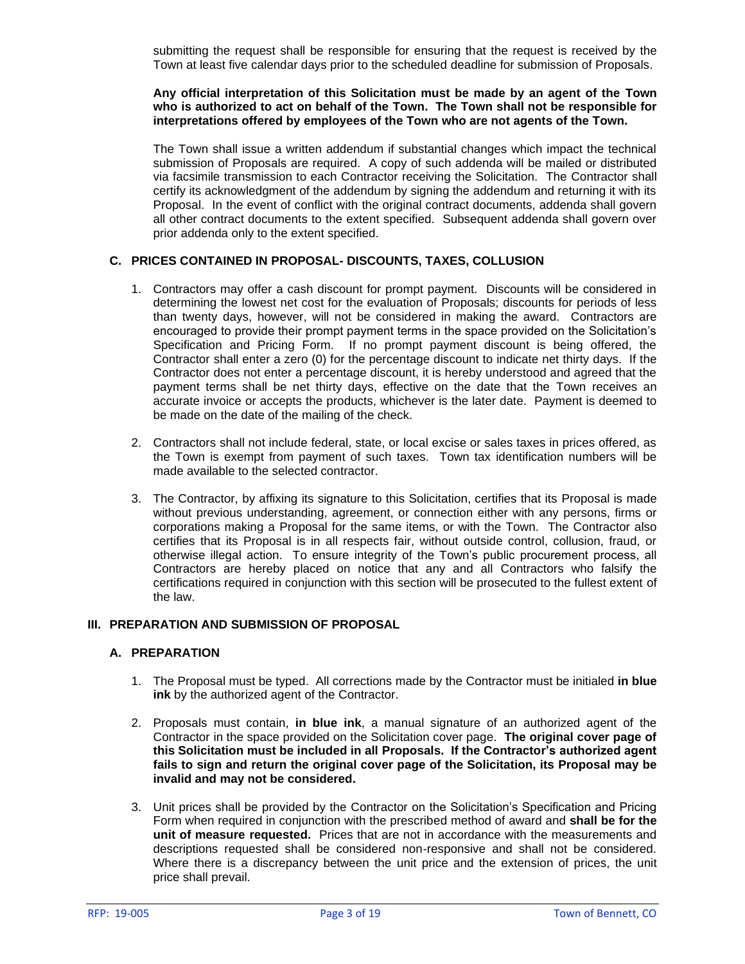submitting the request shall be responsible for ensuring that the request is received by the Town at least five calendar days prior to the scheduled deadline for submission of Proposals.

#### **Any official interpretation of this Solicitation must be made by an agent of the Town who is authorized to act on behalf of the Town. The Town shall not be responsible for interpretations offered by employees of the Town who are not agents of the Town.**

The Town shall issue a written addendum if substantial changes which impact the technical submission of Proposals are required. A copy of such addenda will be mailed or distributed via facsimile transmission to each Contractor receiving the Solicitation. The Contractor shall certify its acknowledgment of the addendum by signing the addendum and returning it with its Proposal. In the event of conflict with the original contract documents, addenda shall govern all other contract documents to the extent specified. Subsequent addenda shall govern over prior addenda only to the extent specified.

## **C. PRICES CONTAINED IN PROPOSAL- DISCOUNTS, TAXES, COLLUSION**

- 1. Contractors may offer a cash discount for prompt payment. Discounts will be considered in determining the lowest net cost for the evaluation of Proposals; discounts for periods of less than twenty days, however, will not be considered in making the award. Contractors are encouraged to provide their prompt payment terms in the space provided on the Solicitation's Specification and Pricing Form. If no prompt payment discount is being offered, the Contractor shall enter a zero (0) for the percentage discount to indicate net thirty days. If the Contractor does not enter a percentage discount, it is hereby understood and agreed that the payment terms shall be net thirty days, effective on the date that the Town receives an accurate invoice or accepts the products, whichever is the later date. Payment is deemed to be made on the date of the mailing of the check.
- 2. Contractors shall not include federal, state, or local excise or sales taxes in prices offered, as the Town is exempt from payment of such taxes. Town tax identification numbers will be made available to the selected contractor.
- 3. The Contractor, by affixing its signature to this Solicitation, certifies that its Proposal is made without previous understanding, agreement, or connection either with any persons, firms or corporations making a Proposal for the same items, or with the Town. The Contractor also certifies that its Proposal is in all respects fair, without outside control, collusion, fraud, or otherwise illegal action. To ensure integrity of the Town's public procurement process, all Contractors are hereby placed on notice that any and all Contractors who falsify the certifications required in conjunction with this section will be prosecuted to the fullest extent of the law.

### **III. PREPARATION AND SUBMISSION OF PROPOSAL**

#### **A. PREPARATION**

- 1. The Proposal must be typed. All corrections made by the Contractor must be initialed **in blue ink** by the authorized agent of the Contractor.
- 2. Proposals must contain, **in blue ink**, a manual signature of an authorized agent of the Contractor in the space provided on the Solicitation cover page. **The original cover page of this Solicitation must be included in all Proposals. If the Contractor's authorized agent fails to sign and return the original cover page of the Solicitation, its Proposal may be invalid and may not be considered.**
- 3. Unit prices shall be provided by the Contractor on the Solicitation's Specification and Pricing Form when required in conjunction with the prescribed method of award and **shall be for the unit of measure requested.** Prices that are not in accordance with the measurements and descriptions requested shall be considered non-responsive and shall not be considered. Where there is a discrepancy between the unit price and the extension of prices, the unit price shall prevail.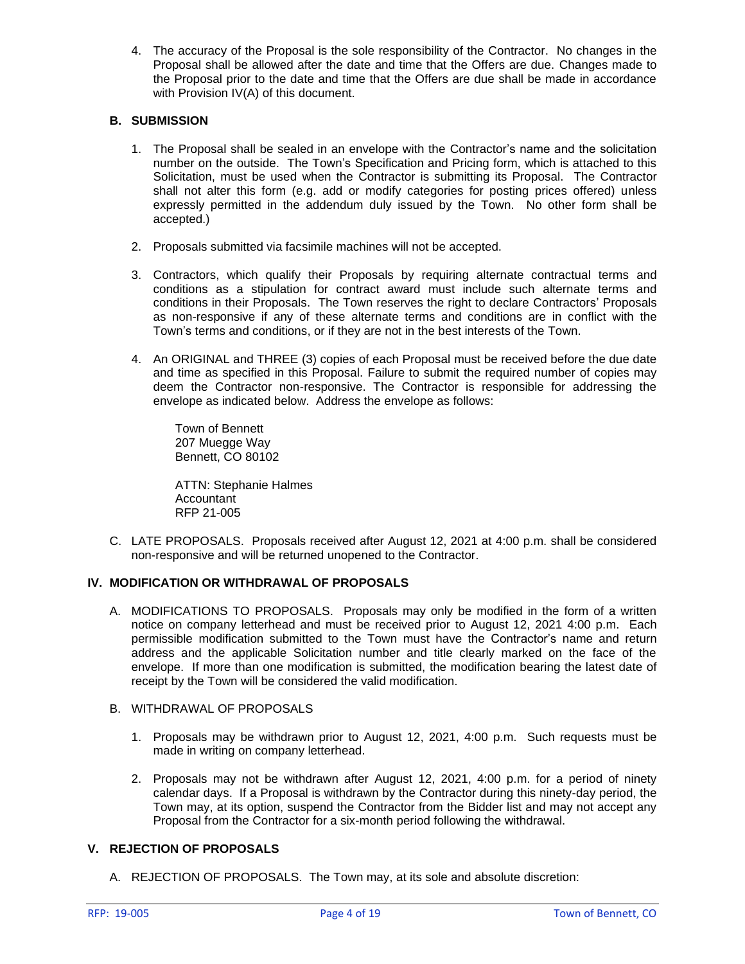4. The accuracy of the Proposal is the sole responsibility of the Contractor. No changes in the Proposal shall be allowed after the date and time that the Offers are due. Changes made to the Proposal prior to the date and time that the Offers are due shall be made in accordance with Provision IV(A) of this document.

# **B. SUBMISSION**

- 1. The Proposal shall be sealed in an envelope with the Contractor's name and the solicitation number on the outside. The Town's Specification and Pricing form, which is attached to this Solicitation, must be used when the Contractor is submitting its Proposal. The Contractor shall not alter this form (e.g. add or modify categories for posting prices offered) unless expressly permitted in the addendum duly issued by the Town. No other form shall be accepted.)
- 2. Proposals submitted via facsimile machines will not be accepted.
- 3. Contractors, which qualify their Proposals by requiring alternate contractual terms and conditions as a stipulation for contract award must include such alternate terms and conditions in their Proposals. The Town reserves the right to declare Contractors' Proposals as non-responsive if any of these alternate terms and conditions are in conflict with the Town's terms and conditions, or if they are not in the best interests of the Town.
- 4. An ORIGINAL and THREE (3) copies of each Proposal must be received before the due date and time as specified in this Proposal. Failure to submit the required number of copies may deem the Contractor non-responsive. The Contractor is responsible for addressing the envelope as indicated below. Address the envelope as follows:

Town of Bennett 207 Muegge Way Bennett, CO 80102

ATTN: Stephanie Halmes Accountant RFP 21-005

C. LATE PROPOSALS. Proposals received after August 12, 2021 at 4:00 p.m. shall be considered non-responsive and will be returned unopened to the Contractor.

# **IV. MODIFICATION OR WITHDRAWAL OF PROPOSALS**

- A. MODIFICATIONS TO PROPOSALS. Proposals may only be modified in the form of a written notice on company letterhead and must be received prior to August 12, 2021 4:00 p.m. Each permissible modification submitted to the Town must have the Contractor's name and return address and the applicable Solicitation number and title clearly marked on the face of the envelope. If more than one modification is submitted, the modification bearing the latest date of receipt by the Town will be considered the valid modification.
- B. WITHDRAWAL OF PROPOSALS
	- 1. Proposals may be withdrawn prior to August 12, 2021, 4:00 p.m. Such requests must be made in writing on company letterhead.
	- 2. Proposals may not be withdrawn after August 12, 2021, 4:00 p.m. for a period of ninety calendar days. If a Proposal is withdrawn by the Contractor during this ninety-day period, the Town may, at its option, suspend the Contractor from the Bidder list and may not accept any Proposal from the Contractor for a six-month period following the withdrawal.

# **V. REJECTION OF PROPOSALS**

A. REJECTION OF PROPOSALS. The Town may, at its sole and absolute discretion: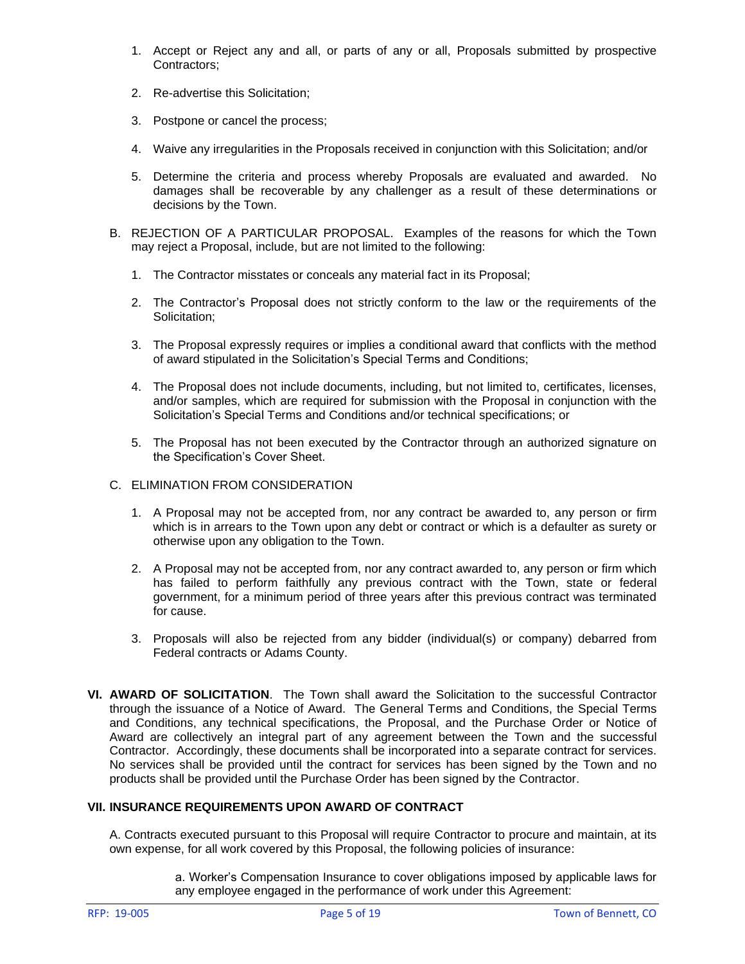- 1. Accept or Reject any and all, or parts of any or all, Proposals submitted by prospective Contractors;
- 2. Re-advertise this Solicitation;
- 3. Postpone or cancel the process;
- 4. Waive any irregularities in the Proposals received in conjunction with this Solicitation; and/or
- 5. Determine the criteria and process whereby Proposals are evaluated and awarded. No damages shall be recoverable by any challenger as a result of these determinations or decisions by the Town.
- B. REJECTION OF A PARTICULAR PROPOSAL. Examples of the reasons for which the Town may reject a Proposal, include, but are not limited to the following:
	- 1. The Contractor misstates or conceals any material fact in its Proposal;
	- 2. The Contractor's Proposal does not strictly conform to the law or the requirements of the Solicitation;
	- 3. The Proposal expressly requires or implies a conditional award that conflicts with the method of award stipulated in the Solicitation's Special Terms and Conditions;
	- 4. The Proposal does not include documents, including, but not limited to, certificates, licenses, and/or samples, which are required for submission with the Proposal in conjunction with the Solicitation's Special Terms and Conditions and/or technical specifications; or
	- 5. The Proposal has not been executed by the Contractor through an authorized signature on the Specification's Cover Sheet.
- C. ELIMINATION FROM CONSIDERATION
	- 1. A Proposal may not be accepted from, nor any contract be awarded to, any person or firm which is in arrears to the Town upon any debt or contract or which is a defaulter as surety or otherwise upon any obligation to the Town.
	- 2. A Proposal may not be accepted from, nor any contract awarded to, any person or firm which has failed to perform faithfully any previous contract with the Town, state or federal government, for a minimum period of three years after this previous contract was terminated for cause.
	- 3. Proposals will also be rejected from any bidder (individual(s) or company) debarred from Federal contracts or Adams County.
- **VI. AWARD OF SOLICITATION**. The Town shall award the Solicitation to the successful Contractor through the issuance of a Notice of Award. The General Terms and Conditions, the Special Terms and Conditions, any technical specifications, the Proposal, and the Purchase Order or Notice of Award are collectively an integral part of any agreement between the Town and the successful Contractor. Accordingly, these documents shall be incorporated into a separate contract for services. No services shall be provided until the contract for services has been signed by the Town and no products shall be provided until the Purchase Order has been signed by the Contractor.

# **VII. INSURANCE REQUIREMENTS UPON AWARD OF CONTRACT**

A. Contracts executed pursuant to this Proposal will require Contractor to procure and maintain, at its own expense, for all work covered by this Proposal, the following policies of insurance:

> a. Worker's Compensation Insurance to cover obligations imposed by applicable laws for any employee engaged in the performance of work under this Agreement: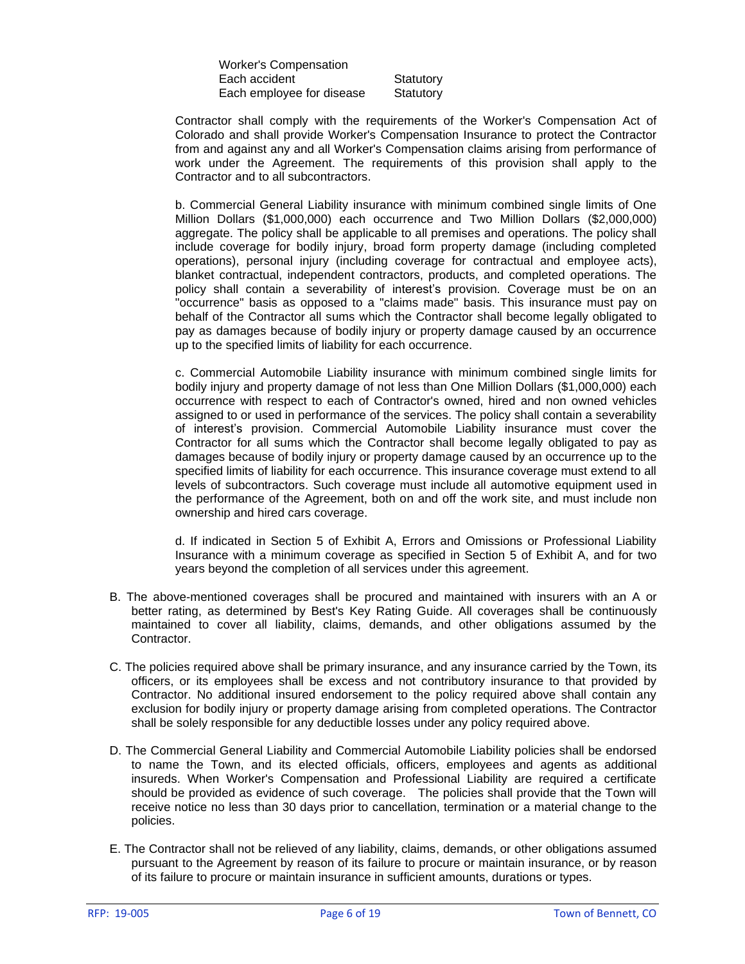Worker's Compensation Each accident Statutory Each employee for disease Statutory

Contractor shall comply with the requirements of the Worker's Compensation Act of Colorado and shall provide Worker's Compensation Insurance to protect the Contractor from and against any and all Worker's Compensation claims arising from performance of work under the Agreement. The requirements of this provision shall apply to the Contractor and to all subcontractors.

b. Commercial General Liability insurance with minimum combined single limits of One Million Dollars (\$1,000,000) each occurrence and Two Million Dollars (\$2,000,000) aggregate. The policy shall be applicable to all premises and operations. The policy shall include coverage for bodily injury, broad form property damage (including completed operations), personal injury (including coverage for contractual and employee acts), blanket contractual, independent contractors, products, and completed operations. The policy shall contain a severability of interest's provision. Coverage must be on an "occurrence" basis as opposed to a "claims made" basis. This insurance must pay on behalf of the Contractor all sums which the Contractor shall become legally obligated to pay as damages because of bodily injury or property damage caused by an occurrence up to the specified limits of liability for each occurrence.

c. Commercial Automobile Liability insurance with minimum combined single limits for bodily injury and property damage of not less than One Million Dollars (\$1,000,000) each occurrence with respect to each of Contractor's owned, hired and non owned vehicles assigned to or used in performance of the services. The policy shall contain a severability of interest's provision. Commercial Automobile Liability insurance must cover the Contractor for all sums which the Contractor shall become legally obligated to pay as damages because of bodily injury or property damage caused by an occurrence up to the specified limits of liability for each occurrence. This insurance coverage must extend to all levels of subcontractors. Such coverage must include all automotive equipment used in the performance of the Agreement, both on and off the work site, and must include non ownership and hired cars coverage.

d. If indicated in Section 5 of Exhibit A, Errors and Omissions or Professional Liability Insurance with a minimum coverage as specified in Section 5 of Exhibit A, and for two years beyond the completion of all services under this agreement.

- B. The above-mentioned coverages shall be procured and maintained with insurers with an A or better rating, as determined by Best's Key Rating Guide. All coverages shall be continuously maintained to cover all liability, claims, demands, and other obligations assumed by the Contractor.
- C. The policies required above shall be primary insurance, and any insurance carried by the Town, its officers, or its employees shall be excess and not contributory insurance to that provided by Contractor. No additional insured endorsement to the policy required above shall contain any exclusion for bodily injury or property damage arising from completed operations. The Contractor shall be solely responsible for any deductible losses under any policy required above.
- D. The Commercial General Liability and Commercial Automobile Liability policies shall be endorsed to name the Town, and its elected officials, officers, employees and agents as additional insureds. When Worker's Compensation and Professional Liability are required a certificate should be provided as evidence of such coverage. The policies shall provide that the Town will receive notice no less than 30 days prior to cancellation, termination or a material change to the policies.
- E. The Contractor shall not be relieved of any liability, claims, demands, or other obligations assumed pursuant to the Agreement by reason of its failure to procure or maintain insurance, or by reason of its failure to procure or maintain insurance in sufficient amounts, durations or types.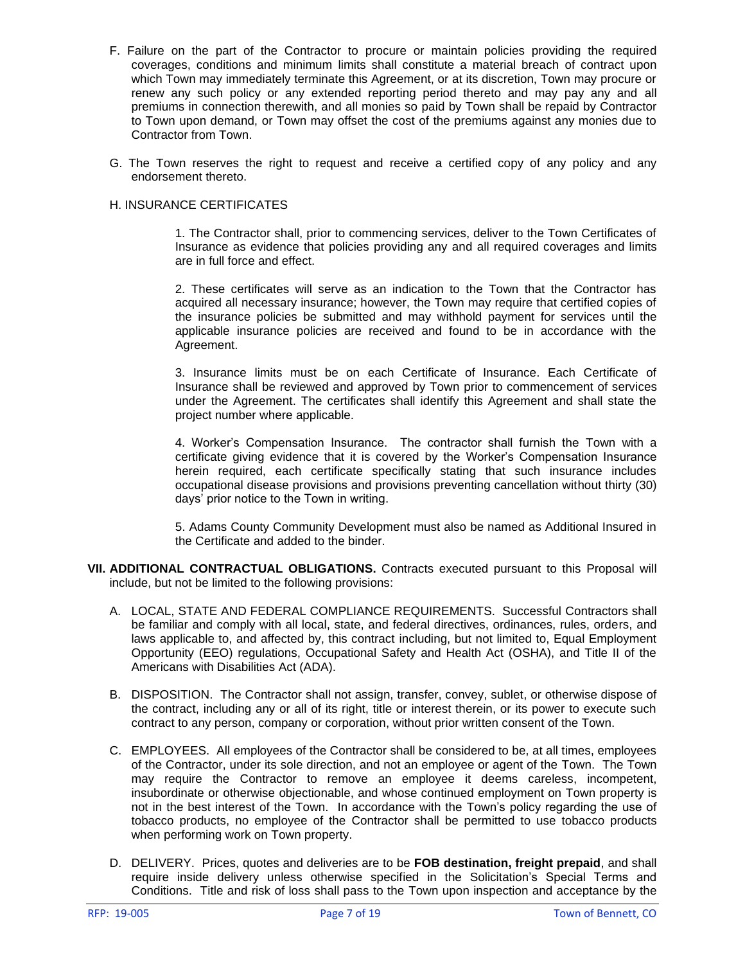- F. Failure on the part of the Contractor to procure or maintain policies providing the required coverages, conditions and minimum limits shall constitute a material breach of contract upon which Town may immediately terminate this Agreement, or at its discretion, Town may procure or renew any such policy or any extended reporting period thereto and may pay any and all premiums in connection therewith, and all monies so paid by Town shall be repaid by Contractor to Town upon demand, or Town may offset the cost of the premiums against any monies due to Contractor from Town.
- G. The Town reserves the right to request and receive a certified copy of any policy and any endorsement thereto.

### H. INSURANCE CERTIFICATES

1. The Contractor shall, prior to commencing services, deliver to the Town Certificates of Insurance as evidence that policies providing any and all required coverages and limits are in full force and effect.

2. These certificates will serve as an indication to the Town that the Contractor has acquired all necessary insurance; however, the Town may require that certified copies of the insurance policies be submitted and may withhold payment for services until the applicable insurance policies are received and found to be in accordance with the Agreement.

3. Insurance limits must be on each Certificate of Insurance. Each Certificate of Insurance shall be reviewed and approved by Town prior to commencement of services under the Agreement. The certificates shall identify this Agreement and shall state the project number where applicable.

4. Worker's Compensation Insurance. The contractor shall furnish the Town with a certificate giving evidence that it is covered by the Worker's Compensation Insurance herein required, each certificate specifically stating that such insurance includes occupational disease provisions and provisions preventing cancellation without thirty (30) days' prior notice to the Town in writing.

5. Adams County Community Development must also be named as Additional Insured in the Certificate and added to the binder.

- **VII. ADDITIONAL CONTRACTUAL OBLIGATIONS.** Contracts executed pursuant to this Proposal will include, but not be limited to the following provisions:
	- A. LOCAL, STATE AND FEDERAL COMPLIANCE REQUIREMENTS. Successful Contractors shall be familiar and comply with all local, state, and federal directives, ordinances, rules, orders, and laws applicable to, and affected by, this contract including, but not limited to, Equal Employment Opportunity (EEO) regulations, Occupational Safety and Health Act (OSHA), and Title II of the Americans with Disabilities Act (ADA).
	- B. DISPOSITION. The Contractor shall not assign, transfer, convey, sublet, or otherwise dispose of the contract, including any or all of its right, title or interest therein, or its power to execute such contract to any person, company or corporation, without prior written consent of the Town.
	- C. EMPLOYEES. All employees of the Contractor shall be considered to be, at all times, employees of the Contractor, under its sole direction, and not an employee or agent of the Town. The Town may require the Contractor to remove an employee it deems careless, incompetent, insubordinate or otherwise objectionable, and whose continued employment on Town property is not in the best interest of the Town. In accordance with the Town's policy regarding the use of tobacco products, no employee of the Contractor shall be permitted to use tobacco products when performing work on Town property.
	- D. DELIVERY. Prices, quotes and deliveries are to be **FOB destination, freight prepaid**, and shall require inside delivery unless otherwise specified in the Solicitation's Special Terms and Conditions. Title and risk of loss shall pass to the Town upon inspection and acceptance by the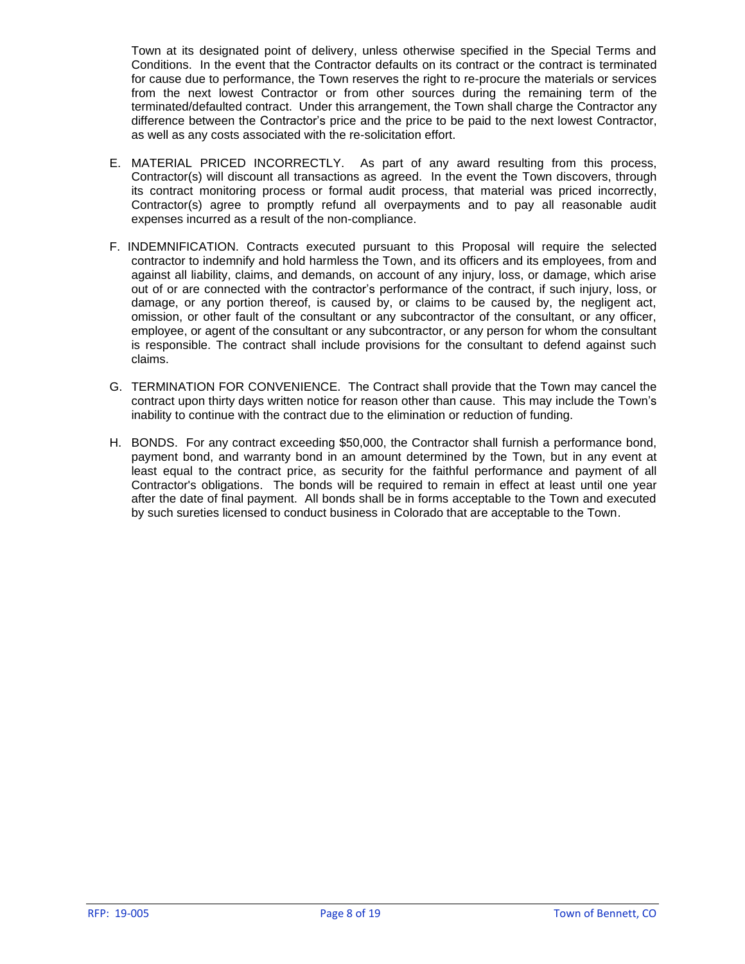Town at its designated point of delivery, unless otherwise specified in the Special Terms and Conditions. In the event that the Contractor defaults on its contract or the contract is terminated for cause due to performance, the Town reserves the right to re-procure the materials or services from the next lowest Contractor or from other sources during the remaining term of the terminated/defaulted contract. Under this arrangement, the Town shall charge the Contractor any difference between the Contractor's price and the price to be paid to the next lowest Contractor, as well as any costs associated with the re-solicitation effort.

- E. MATERIAL PRICED INCORRECTLY. As part of any award resulting from this process, Contractor(s) will discount all transactions as agreed. In the event the Town discovers, through its contract monitoring process or formal audit process, that material was priced incorrectly, Contractor(s) agree to promptly refund all overpayments and to pay all reasonable audit expenses incurred as a result of the non-compliance.
- F. INDEMNIFICATION. Contracts executed pursuant to this Proposal will require the selected contractor to indemnify and hold harmless the Town, and its officers and its employees, from and against all liability, claims, and demands, on account of any injury, loss, or damage, which arise out of or are connected with the contractor's performance of the contract, if such injury, loss, or damage, or any portion thereof, is caused by, or claims to be caused by, the negligent act, omission, or other fault of the consultant or any subcontractor of the consultant, or any officer, employee, or agent of the consultant or any subcontractor, or any person for whom the consultant is responsible. The contract shall include provisions for the consultant to defend against such claims.
- G. TERMINATION FOR CONVENIENCE. The Contract shall provide that the Town may cancel the contract upon thirty days written notice for reason other than cause. This may include the Town's inability to continue with the contract due to the elimination or reduction of funding.
- H. BONDS. For any contract exceeding \$50,000, the Contractor shall furnish a performance bond, payment bond, and warranty bond in an amount determined by the Town, but in any event at least equal to the contract price, as security for the faithful performance and payment of all Contractor's obligations. The bonds will be required to remain in effect at least until one year after the date of final payment. All bonds shall be in forms acceptable to the Town and executed by such sureties licensed to conduct business in Colorado that are acceptable to the Town.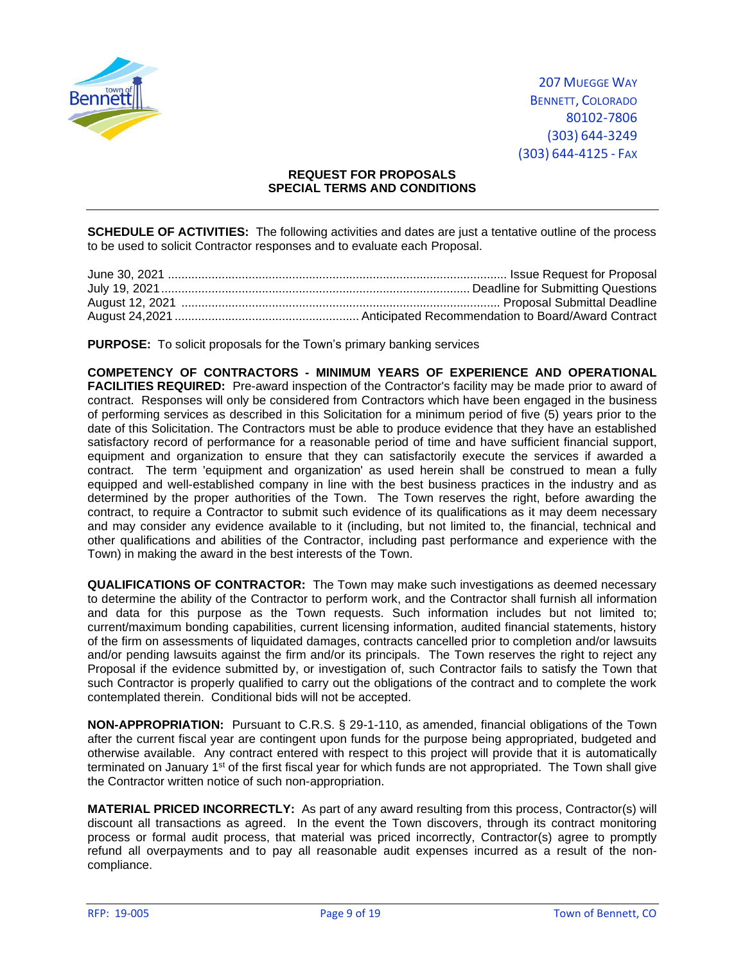

## **REQUEST FOR PROPOSALS SPECIAL TERMS AND CONDITIONS**

**SCHEDULE OF ACTIVITIES:** The following activities and dates are just a tentative outline of the process to be used to solicit Contractor responses and to evaluate each Proposal.

**PURPOSE:** To solicit proposals for the Town's primary banking services

**COMPETENCY OF CONTRACTORS - MINIMUM YEARS OF EXPERIENCE AND OPERATIONAL FACILITIES REQUIRED:** Pre-award inspection of the Contractor's facility may be made prior to award of contract. Responses will only be considered from Contractors which have been engaged in the business of performing services as described in this Solicitation for a minimum period of five (5) years prior to the date of this Solicitation. The Contractors must be able to produce evidence that they have an established satisfactory record of performance for a reasonable period of time and have sufficient financial support, equipment and organization to ensure that they can satisfactorily execute the services if awarded a contract. The term 'equipment and organization' as used herein shall be construed to mean a fully equipped and well-established company in line with the best business practices in the industry and as determined by the proper authorities of the Town. The Town reserves the right, before awarding the contract, to require a Contractor to submit such evidence of its qualifications as it may deem necessary and may consider any evidence available to it (including, but not limited to, the financial, technical and other qualifications and abilities of the Contractor, including past performance and experience with the Town) in making the award in the best interests of the Town.

**QUALIFICATIONS OF CONTRACTOR:** The Town may make such investigations as deemed necessary to determine the ability of the Contractor to perform work, and the Contractor shall furnish all information and data for this purpose as the Town requests. Such information includes but not limited to; current/maximum bonding capabilities, current licensing information, audited financial statements, history of the firm on assessments of liquidated damages, contracts cancelled prior to completion and/or lawsuits and/or pending lawsuits against the firm and/or its principals. The Town reserves the right to reject any Proposal if the evidence submitted by, or investigation of, such Contractor fails to satisfy the Town that such Contractor is properly qualified to carry out the obligations of the contract and to complete the work contemplated therein. Conditional bids will not be accepted.

**NON-APPROPRIATION:** Pursuant to C.R.S. § 29-1-110, as amended, financial obligations of the Town after the current fiscal year are contingent upon funds for the purpose being appropriated, budgeted and otherwise available. Any contract entered with respect to this project will provide that it is automatically terminated on January 1<sup>st</sup> of the first fiscal year for which funds are not appropriated. The Town shall give the Contractor written notice of such non-appropriation.

**MATERIAL PRICED INCORRECTLY:** As part of any award resulting from this process, Contractor(s) will discount all transactions as agreed. In the event the Town discovers, through its contract monitoring process or formal audit process, that material was priced incorrectly, Contractor(s) agree to promptly refund all overpayments and to pay all reasonable audit expenses incurred as a result of the noncompliance.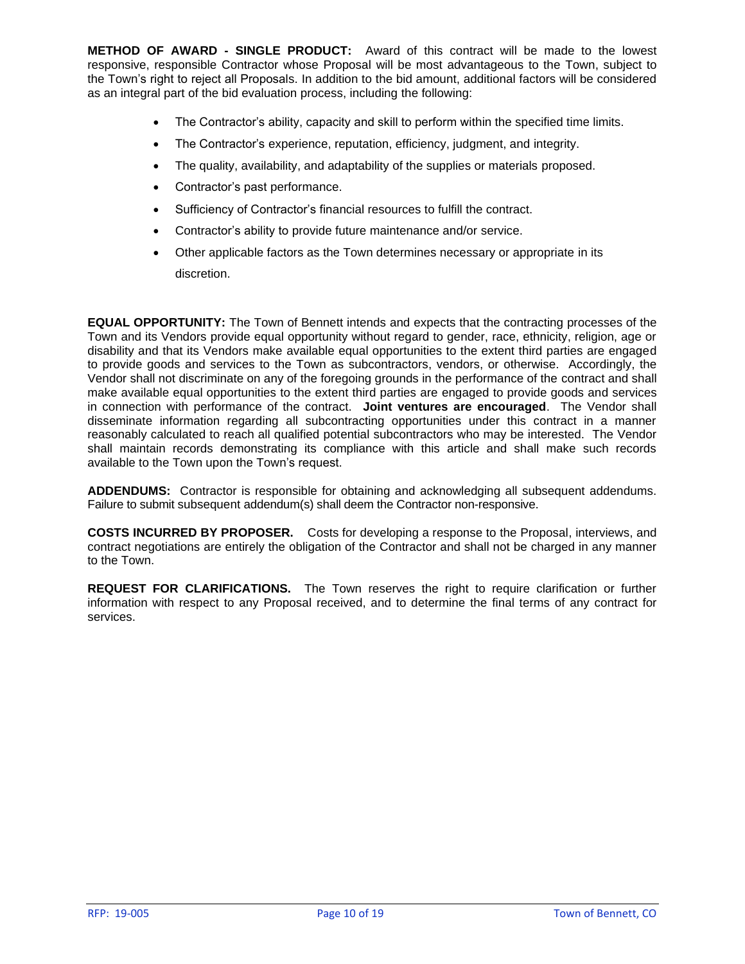**METHOD OF AWARD - SINGLE PRODUCT:** Award of this contract will be made to the lowest responsive, responsible Contractor whose Proposal will be most advantageous to the Town, subject to the Town's right to reject all Proposals. In addition to the bid amount, additional factors will be considered as an integral part of the bid evaluation process, including the following:

- The Contractor's ability, capacity and skill to perform within the specified time limits.
- The Contractor's experience, reputation, efficiency, judgment, and integrity.
- The quality, availability, and adaptability of the supplies or materials proposed.
- Contractor's past performance.
- Sufficiency of Contractor's financial resources to fulfill the contract.
- Contractor's ability to provide future maintenance and/or service.
- Other applicable factors as the Town determines necessary or appropriate in its discretion.

**EQUAL OPPORTUNITY:** The Town of Bennett intends and expects that the contracting processes of the Town and its Vendors provide equal opportunity without regard to gender, race, ethnicity, religion, age or disability and that its Vendors make available equal opportunities to the extent third parties are engaged to provide goods and services to the Town as subcontractors, vendors, or otherwise. Accordingly, the Vendor shall not discriminate on any of the foregoing grounds in the performance of the contract and shall make available equal opportunities to the extent third parties are engaged to provide goods and services in connection with performance of the contract. **Joint ventures are encouraged**.The Vendor shall disseminate information regarding all subcontracting opportunities under this contract in a manner reasonably calculated to reach all qualified potential subcontractors who may be interested. The Vendor shall maintain records demonstrating its compliance with this article and shall make such records available to the Town upon the Town's request.

**ADDENDUMS:** Contractor is responsible for obtaining and acknowledging all subsequent addendums. Failure to submit subsequent addendum(s) shall deem the Contractor non-responsive.

**COSTS INCURRED BY PROPOSER.** Costs for developing a response to the Proposal, interviews, and contract negotiations are entirely the obligation of the Contractor and shall not be charged in any manner to the Town.

**REQUEST FOR CLARIFICATIONS.** The Town reserves the right to require clarification or further information with respect to any Proposal received, and to determine the final terms of any contract for services.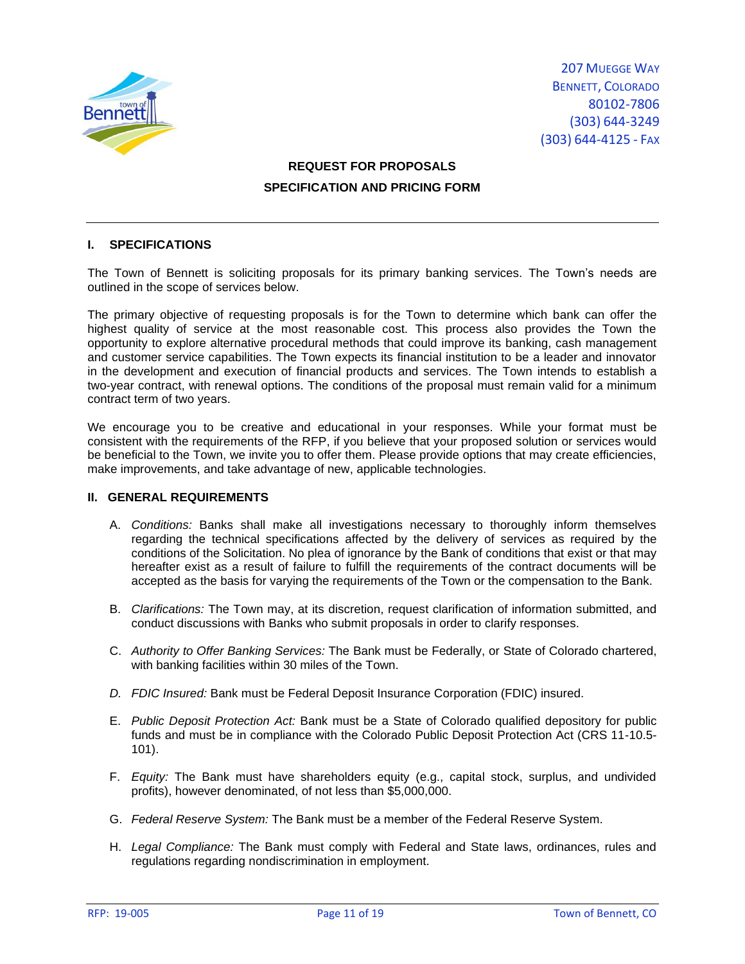

# **REQUEST FOR PROPOSALS SPECIFICATION AND PRICING FORM**

# **I. SPECIFICATIONS**

The Town of Bennett is soliciting proposals for its primary banking services. The Town's needs are outlined in the scope of services below.

The primary objective of requesting proposals is for the Town to determine which bank can offer the highest quality of service at the most reasonable cost. This process also provides the Town the opportunity to explore alternative procedural methods that could improve its banking, cash management and customer service capabilities. The Town expects its financial institution to be a leader and innovator in the development and execution of financial products and services. The Town intends to establish a two-year contract, with renewal options. The conditions of the proposal must remain valid for a minimum contract term of two years.

We encourage you to be creative and educational in your responses. While your format must be consistent with the requirements of the RFP, if you believe that your proposed solution or services would be beneficial to the Town, we invite you to offer them. Please provide options that may create efficiencies, make improvements, and take advantage of new, applicable technologies.

### **II. GENERAL REQUIREMENTS**

- A. *Conditions:* Banks shall make all investigations necessary to thoroughly inform themselves regarding the technical specifications affected by the delivery of services as required by the conditions of the Solicitation. No plea of ignorance by the Bank of conditions that exist or that may hereafter exist as a result of failure to fulfill the requirements of the contract documents will be accepted as the basis for varying the requirements of the Town or the compensation to the Bank.
- B. *Clarifications:* The Town may, at its discretion, request clarification of information submitted, and conduct discussions with Banks who submit proposals in order to clarify responses.
- C. *Authority to Offer Banking Services:* The Bank must be Federally, or State of Colorado chartered, with banking facilities within 30 miles of the Town.
- *D. FDIC Insured:* Bank must be Federal Deposit Insurance Corporation (FDIC) insured.
- E. *Public Deposit Protection Act:* Bank must be a State of Colorado qualified depository for public funds and must be in compliance with the Colorado Public Deposit Protection Act (CRS 11-10.5- 101).
- F. *Equity:* The Bank must have shareholders equity (e.g., capital stock, surplus, and undivided profits), however denominated, of not less than \$5,000,000.
- G. *Federal Reserve System:* The Bank must be a member of the Federal Reserve System.
- H. *Legal Compliance:* The Bank must comply with Federal and State laws, ordinances, rules and regulations regarding nondiscrimination in employment.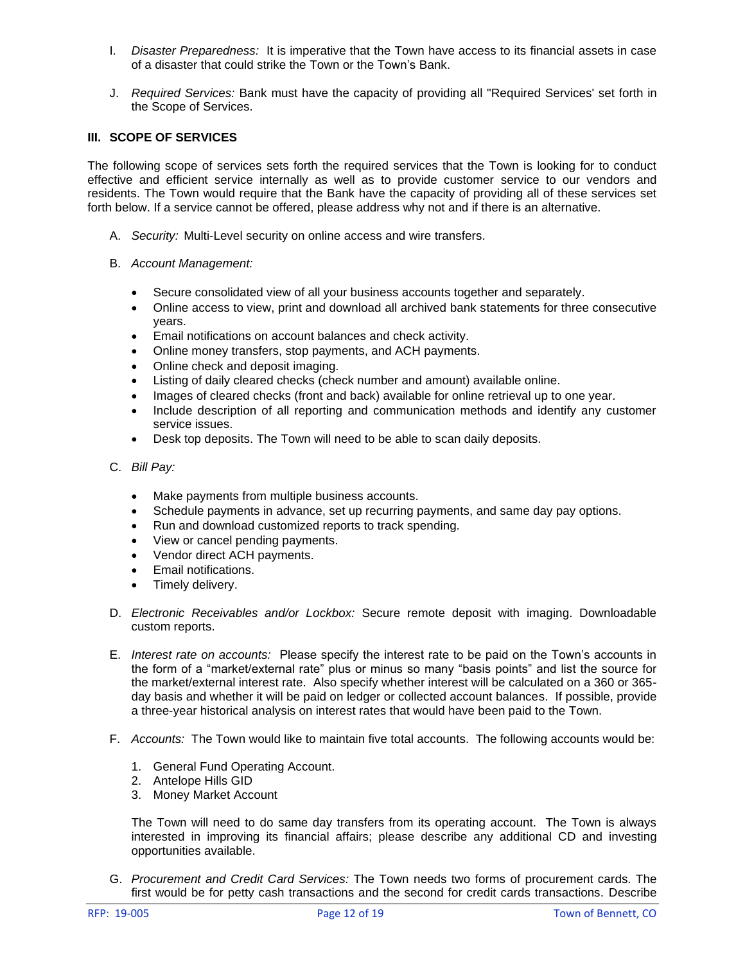- I. *Disaster Preparedness:* It is imperative that the Town have access to its financial assets in case of a disaster that could strike the Town or the Town's Bank.
- J. *Required Services:* Bank must have the capacity of providing all "Required Services' set forth in the Scope of Services.

### **III. SCOPE OF SERVICES**

The following scope of services sets forth the required services that the Town is looking for to conduct effective and efficient service internally as well as to provide customer service to our vendors and residents. The Town would require that the Bank have the capacity of providing all of these services set forth below. If a service cannot be offered, please address why not and if there is an alternative.

- A. *Security:* Multi-Level security on online access and wire transfers.
- B. *Account Management:* 
	- Secure consolidated view of all your business accounts together and separately.
	- Online access to view, print and download all archived bank statements for three consecutive years.
	- Email notifications on account balances and check activity.
	- Online money transfers, stop payments, and ACH payments.
	- Online check and deposit imaging.
	- Listing of daily cleared checks (check number and amount) available online.
	- Images of cleared checks (front and back) available for online retrieval up to one year.
	- Include description of all reporting and communication methods and identify any customer service issues.
	- Desk top deposits. The Town will need to be able to scan daily deposits.
- C. *Bill Pay:* 
	- Make payments from multiple business accounts.
	- Schedule payments in advance, set up recurring payments, and same day pay options.
	- Run and download customized reports to track spending.
	- View or cancel pending payments.
	- Vendor direct ACH payments.
	- Email notifications.
	- Timely delivery.
- D. *Electronic Receivables and/or Lockbox:* Secure remote deposit with imaging. Downloadable custom reports.
- E. *Interest rate on accounts:* Please specify the interest rate to be paid on the Town's accounts in the form of a "market/external rate" plus or minus so many "basis points" and list the source for the market/external interest rate. Also specify whether interest will be calculated on a 360 or 365 day basis and whether it will be paid on ledger or collected account balances. If possible, provide a three-year historical analysis on interest rates that would have been paid to the Town.
- F. *Accounts:* The Town would like to maintain five total accounts. The following accounts would be:
	- 1. General Fund Operating Account.
	- 2. Antelope Hills GID
	- 3. Money Market Account

The Town will need to do same day transfers from its operating account. The Town is always interested in improving its financial affairs; please describe any additional CD and investing opportunities available.

G. *Procurement and Credit Card Services:* The Town needs two forms of procurement cards. The first would be for petty cash transactions and the second for credit cards transactions. Describe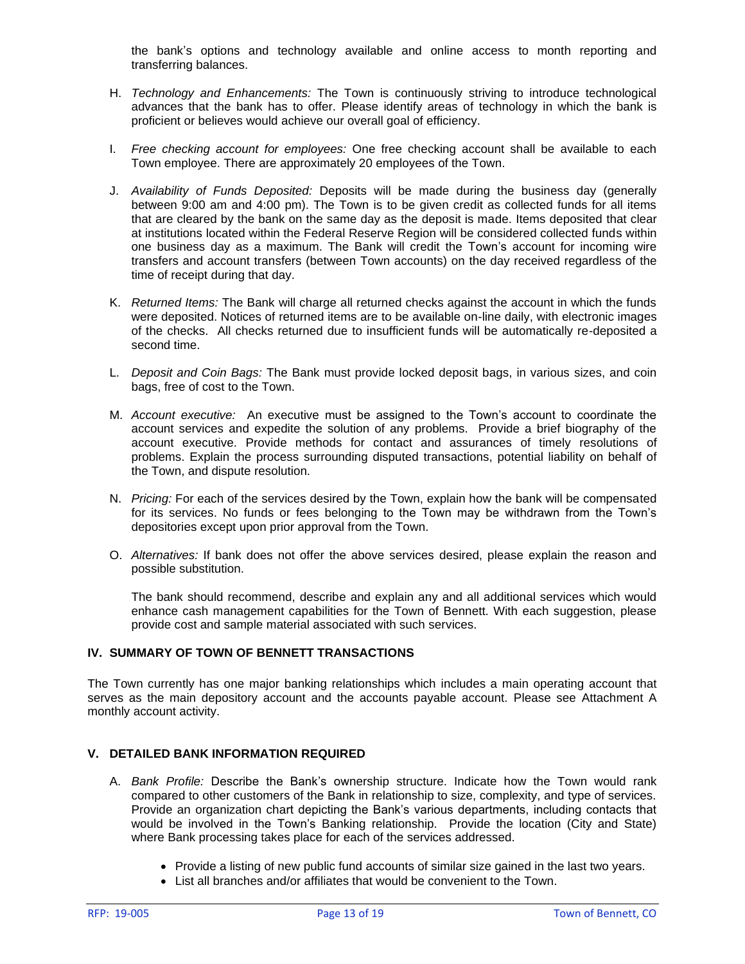the bank's options and technology available and online access to month reporting and transferring balances.

- H. *Technology and Enhancements:* The Town is continuously striving to introduce technological advances that the bank has to offer. Please identify areas of technology in which the bank is proficient or believes would achieve our overall goal of efficiency.
- I. *Free checking account for employees:* One free checking account shall be available to each Town employee. There are approximately 20 employees of the Town.
- J. *Availability of Funds Deposited:* Deposits will be made during the business day (generally between 9:00 am and 4:00 pm). The Town is to be given credit as collected funds for all items that are cleared by the bank on the same day as the deposit is made. Items deposited that clear at institutions located within the Federal Reserve Region will be considered collected funds within one business day as a maximum. The Bank will credit the Town's account for incoming wire transfers and account transfers (between Town accounts) on the day received regardless of the time of receipt during that day.
- K. *Returned Items:* The Bank will charge all returned checks against the account in which the funds were deposited. Notices of returned items are to be available on-line daily, with electronic images of the checks. All checks returned due to insufficient funds will be automatically re-deposited a second time.
- L. *Deposit and Coin Bags:* The Bank must provide locked deposit bags, in various sizes, and coin bags, free of cost to the Town.
- M. *Account executive:* An executive must be assigned to the Town's account to coordinate the account services and expedite the solution of any problems. Provide a brief biography of the account executive. Provide methods for contact and assurances of timely resolutions of problems. Explain the process surrounding disputed transactions, potential liability on behalf of the Town, and dispute resolution.
- N. *Pricing:* For each of the services desired by the Town, explain how the bank will be compensated for its services. No funds or fees belonging to the Town may be withdrawn from the Town's depositories except upon prior approval from the Town.
- O. *Alternatives:* If bank does not offer the above services desired, please explain the reason and possible substitution.

The bank should recommend, describe and explain any and all additional services which would enhance cash management capabilities for the Town of Bennett. With each suggestion, please provide cost and sample material associated with such services.

# **IV. SUMMARY OF TOWN OF BENNETT TRANSACTIONS**

The Town currently has one major banking relationships which includes a main operating account that serves as the main depository account and the accounts payable account. Please see Attachment A monthly account activity.

### **V. DETAILED BANK INFORMATION REQUIRED**

- A. *Bank Profile:* Describe the Bank's ownership structure. Indicate how the Town would rank compared to other customers of the Bank in relationship to size, complexity, and type of services. Provide an organization chart depicting the Bank's various departments, including contacts that would be involved in the Town's Banking relationship. Provide the location (City and State) where Bank processing takes place for each of the services addressed.
	- Provide a listing of new public fund accounts of similar size gained in the last two years.
	- List all branches and/or affiliates that would be convenient to the Town.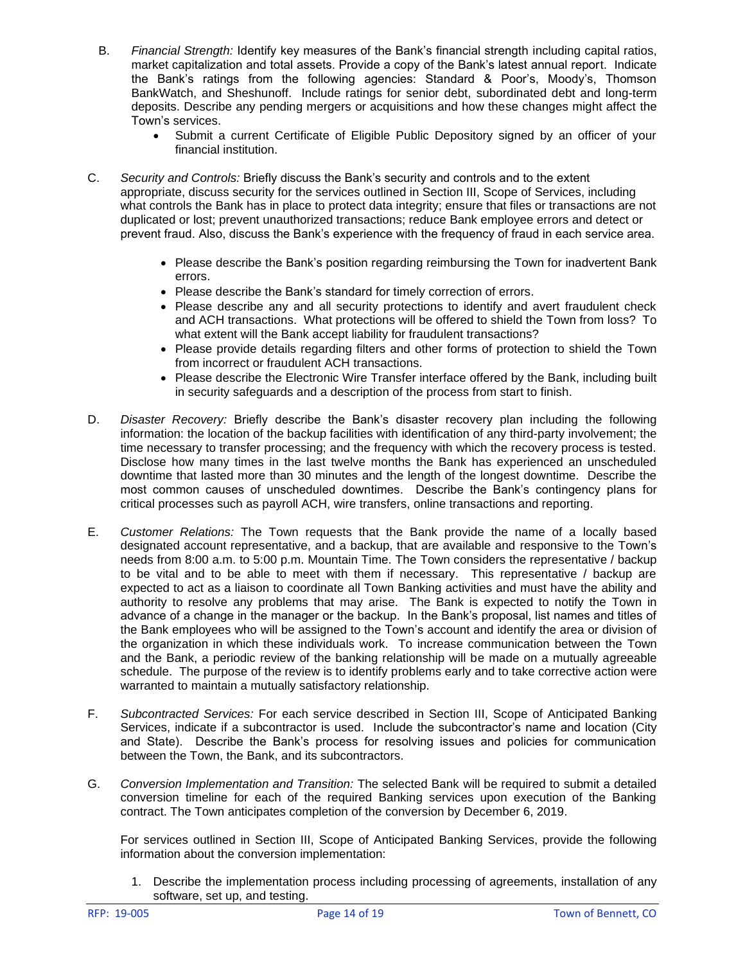- B. *Financial Strength:* Identify key measures of the Bank's financial strength including capital ratios, market capitalization and total assets. Provide a copy of the Bank's latest annual report. Indicate the Bank's ratings from the following agencies: Standard & Poor's, Moody's, Thomson BankWatch, and Sheshunoff. Include ratings for senior debt, subordinated debt and long-term deposits. Describe any pending mergers or acquisitions and how these changes might affect the Town's services.
	- Submit a current Certificate of Eligible Public Depository signed by an officer of your financial institution.
- C. *Security and Controls:* Briefly discuss the Bank's security and controls and to the extent appropriate, discuss security for the services outlined in Section III, Scope of Services, including what controls the Bank has in place to protect data integrity; ensure that files or transactions are not duplicated or lost; prevent unauthorized transactions; reduce Bank employee errors and detect or prevent fraud. Also, discuss the Bank's experience with the frequency of fraud in each service area.
	- Please describe the Bank's position regarding reimbursing the Town for inadvertent Bank errors.
	- Please describe the Bank's standard for timely correction of errors.
	- Please describe any and all security protections to identify and avert fraudulent check and ACH transactions. What protections will be offered to shield the Town from loss? To what extent will the Bank accept liability for fraudulent transactions?
	- Please provide details regarding filters and other forms of protection to shield the Town from incorrect or fraudulent ACH transactions.
	- Please describe the Electronic Wire Transfer interface offered by the Bank, including built in security safeguards and a description of the process from start to finish.
- D. *Disaster Recovery:* Briefly describe the Bank's disaster recovery plan including the following information: the location of the backup facilities with identification of any third-party involvement; the time necessary to transfer processing; and the frequency with which the recovery process is tested. Disclose how many times in the last twelve months the Bank has experienced an unscheduled downtime that lasted more than 30 minutes and the length of the longest downtime. Describe the most common causes of unscheduled downtimes. Describe the Bank's contingency plans for critical processes such as payroll ACH, wire transfers, online transactions and reporting.
- E. *Customer Relations:* The Town requests that the Bank provide the name of a locally based designated account representative, and a backup, that are available and responsive to the Town's needs from 8:00 a.m. to 5:00 p.m. Mountain Time. The Town considers the representative / backup to be vital and to be able to meet with them if necessary. This representative / backup are expected to act as a liaison to coordinate all Town Banking activities and must have the ability and authority to resolve any problems that may arise. The Bank is expected to notify the Town in advance of a change in the manager or the backup. In the Bank's proposal, list names and titles of the Bank employees who will be assigned to the Town's account and identify the area or division of the organization in which these individuals work. To increase communication between the Town and the Bank, a periodic review of the banking relationship will be made on a mutually agreeable schedule. The purpose of the review is to identify problems early and to take corrective action were warranted to maintain a mutually satisfactory relationship.
- F. *Subcontracted Services:* For each service described in Section III, Scope of Anticipated Banking Services, indicate if a subcontractor is used. Include the subcontractor's name and location (City and State). Describe the Bank's process for resolving issues and policies for communication between the Town, the Bank, and its subcontractors.
- G. *Conversion Implementation and Transition:* The selected Bank will be required to submit a detailed conversion timeline for each of the required Banking services upon execution of the Banking contract. The Town anticipates completion of the conversion by December 6, 2019.

For services outlined in Section III, Scope of Anticipated Banking Services, provide the following information about the conversion implementation:

1. Describe the implementation process including processing of agreements, installation of any software, set up, and testing.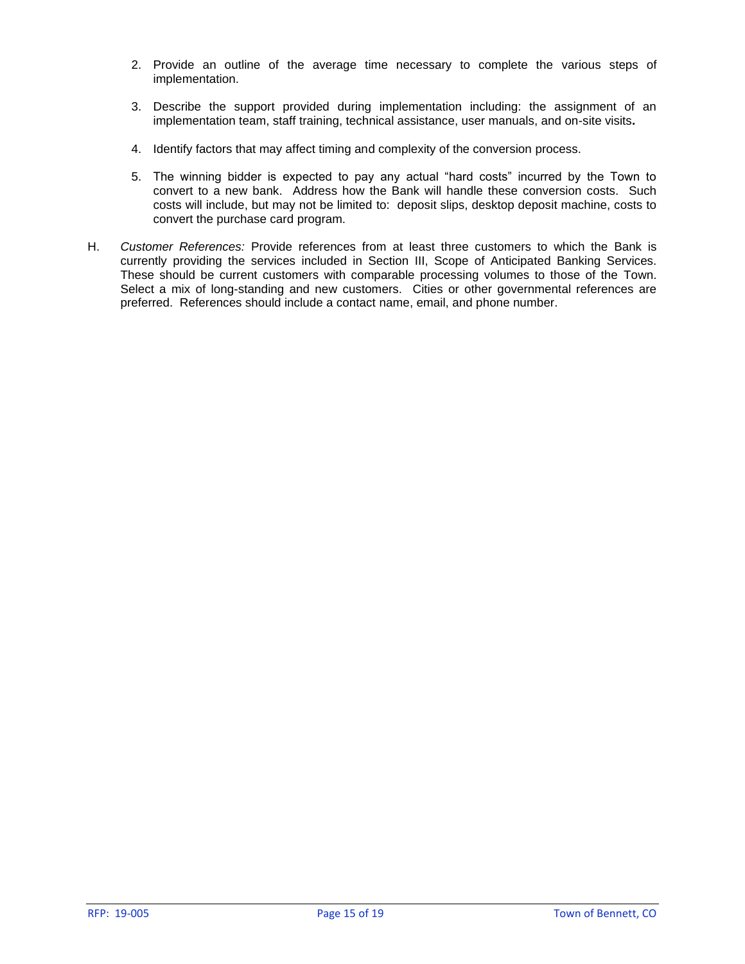- 2. Provide an outline of the average time necessary to complete the various steps of implementation.
- 3. Describe the support provided during implementation including: the assignment of an implementation team, staff training, technical assistance, user manuals, and on-site visits**.**
- 4. Identify factors that may affect timing and complexity of the conversion process.
- 5. The winning bidder is expected to pay any actual "hard costs" incurred by the Town to convert to a new bank. Address how the Bank will handle these conversion costs. Such costs will include, but may not be limited to: deposit slips, desktop deposit machine, costs to convert the purchase card program.
- H. *Customer References:* Provide references from at least three customers to which the Bank is currently providing the services included in Section III, Scope of Anticipated Banking Services. These should be current customers with comparable processing volumes to those of the Town. Select a mix of long-standing and new customers. Cities or other governmental references are preferred. References should include a contact name, email, and phone number.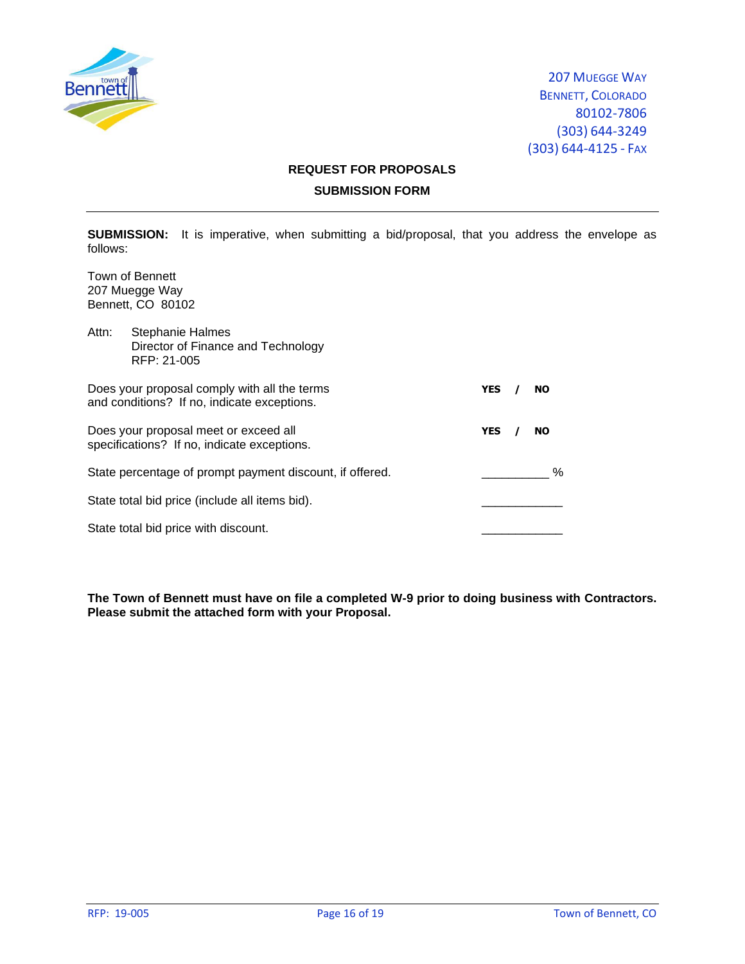

# **REQUEST FOR PROPOSALS SUBMISSION FORM**

**SUBMISSION:** It is imperative, when submitting a bid/proposal, that you address the envelope as follows:

Town of Bennett 207 Muegge Way Bennett, CO 80102

| Attn: | <b>Stephanie Halmes</b><br>Director of Finance and Technology<br>RFP: 21-005                |            |           |
|-------|---------------------------------------------------------------------------------------------|------------|-----------|
|       | Does your proposal comply with all the terms<br>and conditions? If no, indicate exceptions. | YES        | <b>NO</b> |
|       | Does your proposal meet or exceed all<br>specifications? If no, indicate exceptions.        | <b>YES</b> | <b>NO</b> |
|       | State percentage of prompt payment discount, if offered.                                    |            | ℅         |
|       | State total bid price (include all items bid).                                              |            |           |
|       | State total bid price with discount.                                                        |            |           |

**The Town of Bennett must have on file a completed W-9 prior to doing business with Contractors. Please submit the attached form with your Proposal.**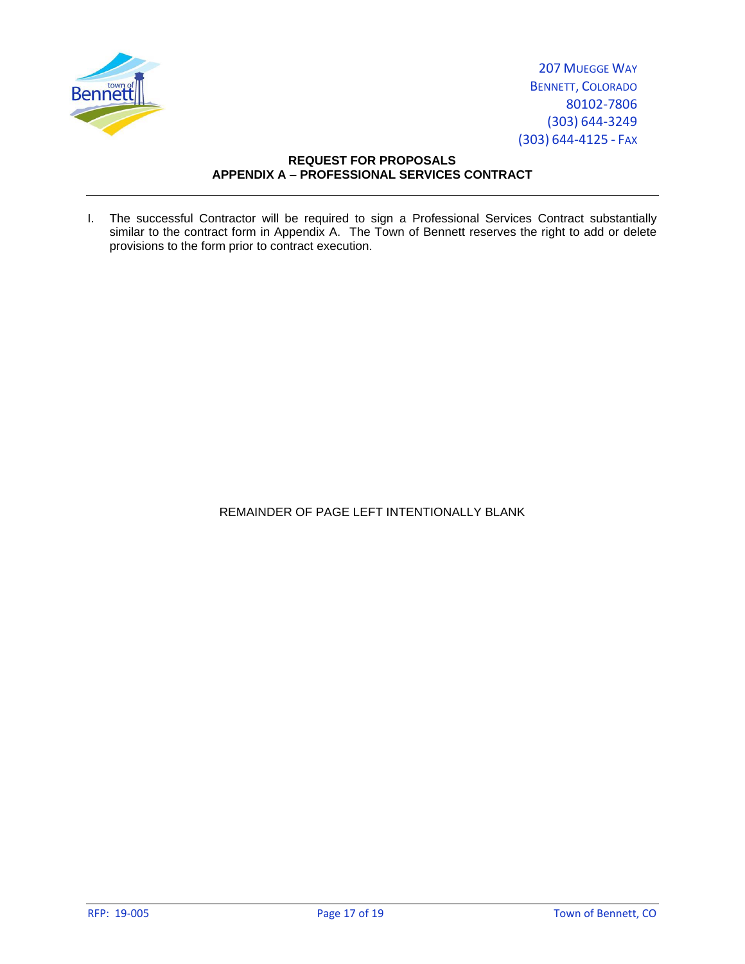

# **REQUEST FOR PROPOSALS APPENDIX A – PROFESSIONAL SERVICES CONTRACT**

I. The successful Contractor will be required to sign a Professional Services Contract substantially similar to the contract form in Appendix A. The Town of Bennett reserves the right to add or delete provisions to the form prior to contract execution.

REMAINDER OF PAGE LEFT INTENTIONALLY BLANK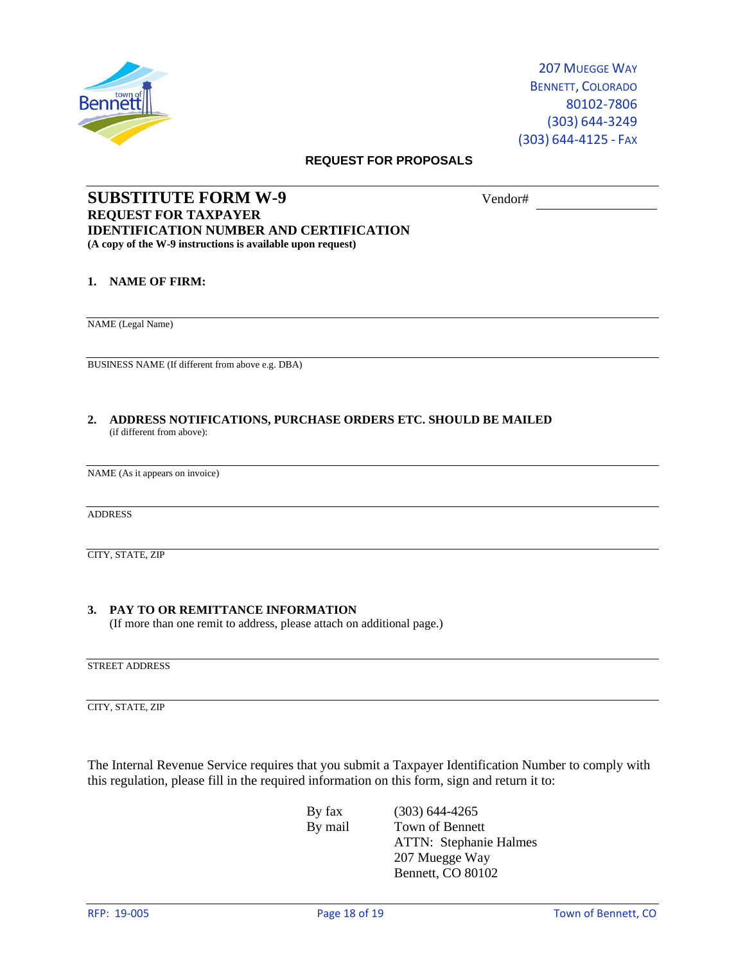

#### **REQUEST FOR PROPOSALS**

# **SUBSTITUTE FORM W-9** Vendor# **REQUEST FOR TAXPAYER IDENTIFICATION NUMBER AND CERTIFICATION (A copy of the W-9 instructions is available upon request)**

### **1. NAME OF FIRM:**

NAME (Legal Name)

BUSINESS NAME (If different from above e.g. DBA)

**2. ADDRESS NOTIFICATIONS, PURCHASE ORDERS ETC. SHOULD BE MAILED** (if different from above):

NAME (As it appears on invoice)

ADDRESS

CITY, STATE, ZIP

### **3. PAY TO OR REMITTANCE INFORMATION**

(If more than one remit to address, please attach on additional page.)

STREET ADDRESS

CITY, STATE, ZIP

The Internal Revenue Service requires that you submit a Taxpayer Identification Number to comply with this regulation, please fill in the required information on this form, sign and return it to:

By fax (303) 644-4265 By mail Town of Bennett ATTN: Stephanie Halmes 207 Muegge Way Bennett, CO 80102